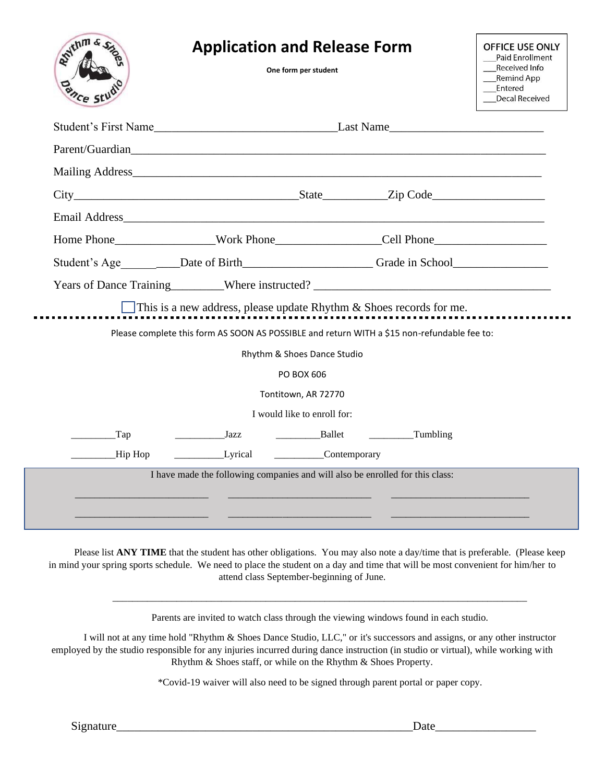| Mailing Address <b>Mailing</b> Address <b>Mailing</b> Address <b>Mailing</b> Address <b>Mailing</b> Address <b>Mailing</b> Address <b>Mailing</b> Address <b>Mailing</b> Address <b>Mailing</b> Address <b>Mailing</b> Address <b>Mailing</b> Address <b>Mailing</b> Address <b>Mailing</b> |  |
|---------------------------------------------------------------------------------------------------------------------------------------------------------------------------------------------------------------------------------------------------------------------------------------------|--|
|                                                                                                                                                                                                                                                                                             |  |
|                                                                                                                                                                                                                                                                                             |  |
| Home Phone Nork Phone Cell Phone                                                                                                                                                                                                                                                            |  |
| Student's Age ________Date of Birth____________________Grade in School______________________________                                                                                                                                                                                        |  |
|                                                                                                                                                                                                                                                                                             |  |
| This is a new address, please update Rhythm $&$ Shoes records for me.                                                                                                                                                                                                                       |  |
| Please complete this form AS SOON AS POSSIBLE and return WITH a \$15 non-refundable fee to:                                                                                                                                                                                                 |  |
| Rhythm & Shoes Dance Studio                                                                                                                                                                                                                                                                 |  |
| PO BOX 606                                                                                                                                                                                                                                                                                  |  |
| Tontitown, AR 72770                                                                                                                                                                                                                                                                         |  |
| I would like to enroll for:                                                                                                                                                                                                                                                                 |  |
| Ballet Tumbling<br>Tap<br><b>Solution</b> State State State State State State State State State State State State State State State State State State State State State State State State State State State State State State State State State State State S<br>Hip Hop                    |  |
| I have made the following companies and will also be enrolled for this class:                                                                                                                                                                                                               |  |
|                                                                                                                                                                                                                                                                                             |  |
|                                                                                                                                                                                                                                                                                             |  |

Please list **ANY TIME** that the student has other obligations. You may also note a day/time that is preferable. (Please keep in mind your spring sports schedule. We need to place the student on a day and time that will be most convenient for him/her to attend class September-beginning of June.

Parents are invited to watch class through the viewing windows found in each studio.

\_\_\_\_\_\_\_\_\_\_\_\_\_\_\_\_\_\_\_\_\_\_\_\_\_\_\_\_\_\_\_\_\_\_\_\_\_\_\_\_\_\_\_\_\_\_\_\_\_\_\_\_\_\_\_\_\_\_\_\_\_\_\_\_\_\_\_\_\_\_\_\_\_\_\_\_\_\_\_\_\_\_\_\_

I will not at any time hold "Rhythm & Shoes Dance Studio, LLC," or it's successors and assigns, or any other instructor employed by the studio responsible for any injuries incurred during dance instruction (in studio or virtual), while working with Rhythm & Shoes staff, or while on the Rhythm & Shoes Property.

\*Covid-19 waiver will also need to be signed through parent portal or paper copy.

r